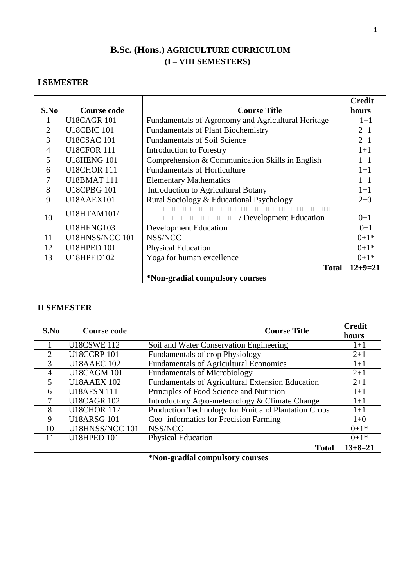# **B.Sc. (Hons.) AGRICULTURE CURRICULUM (I – VIII SEMESTERS)**

## **I SEMESTER**

|                |                        |                                                    | <b>Credit</b> |
|----------------|------------------------|----------------------------------------------------|---------------|
| S.No           | Course code            | <b>Course Title</b>                                | hours         |
|                | <b>U18CAGR 101</b>     | Fundamentals of Agronomy and Agricultural Heritage | $1+1$         |
| $\overline{2}$ | <b>U18CBIC 101</b>     | <b>Fundamentals of Plant Biochemistry</b>          | $2+1$         |
| 3              | <b>U18CSAC 101</b>     | <b>Fundamentals of Soil Science</b>                | $2+1$         |
| 4              | <b>U18CFOR 111</b>     | <b>Introduction to Forestry</b>                    | $1+1$         |
| 5              | <b>U18HENG 101</b>     | Comprehension & Communication Skills in English    | $1+1$         |
| 6              | <b>U18CHOR 111</b>     | <b>Fundamentals of Horticulture</b>                | $1+1$         |
|                | <b>U18BMAT 111</b>     | <b>Elementary Mathematics</b>                      | $1+1$         |
| 8              | <b>U18CPBG 101</b>     | <b>Introduction to Agricultural Botany</b>         | $1+1$         |
| 9              | <b>U18AAEX101</b>      | Rural Sociology & Educational Psychology           | $2+0$         |
|                | U18HTAM101/            | ananananan an                                      |               |
| 10             |                        | <b>DEEDE COORDING TO / Development Education</b>   | $0+1$         |
|                | <b>U18HENG103</b>      | <b>Development Education</b>                       | $0+1$         |
| 11             | <b>U18HNSS/NCC 101</b> | NSS/NCC                                            | $0+1*$        |
| 12             | <b>U18HPED 101</b>     | <b>Physical Education</b>                          | $0+1*$        |
| 13             | <b>U18HPED102</b>      | Yoga for human excellence                          | $0+1*$        |
|                |                        | <b>Total</b>                                       | $12+9=21$     |
|                |                        | *Non-gradial compulsory courses                    |               |

## **II SEMESTER**

| S.No           | <b>Course code</b>     | <b>Course Title</b>                                  | <b>Credit</b><br>hours |
|----------------|------------------------|------------------------------------------------------|------------------------|
|                | <b>U18CSWE 112</b>     | Soil and Water Conservation Engineering              | $1+1$                  |
| $\overline{2}$ | <b>U18CCRP 101</b>     | <b>Fundamentals of crop Physiology</b>               | $2+1$                  |
| 3              | <b>U18AAEC 102</b>     | <b>Fundamentals of Agricultural Economics</b>        | $1+1$                  |
| $\overline{4}$ | <b>U18CAGM 101</b>     | <b>Fundamentals of Microbiology</b>                  | $2+1$                  |
| 5              | <b>U18AAEX 102</b>     | Fundamentals of Agricultural Extension Education     | $2 + 1$                |
| 6              | <b>U18AFSN 111</b>     | Principles of Food Science and Nutrition             | $1+1$                  |
| 7              | <b>U18CAGR 102</b>     | Introductory Agro-meteorology & Climate Change       | $1+1$                  |
| 8              | <b>U18CHOR 112</b>     | Production Technology for Fruit and Plantation Crops | $1+1$                  |
| 9              | <b>U18ARSG 101</b>     | Geo-informatics for Precision Farming                | $1 + 0$                |
| 10             | <b>U18HNSS/NCC 101</b> | NSS/NCC                                              | $0+1*$                 |
| 11             | <b>U18HPED 101</b>     | <b>Physical Education</b>                            | $0+1*$                 |
|                |                        | <b>Total</b>                                         | $13+8=21$              |
|                |                        | *Non-gradial compulsory courses                      |                        |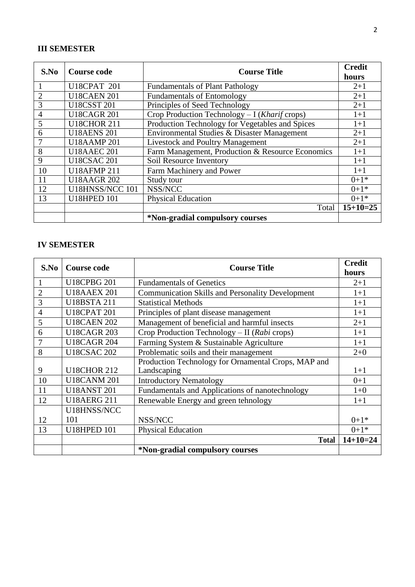## **III SEMESTER**

| S.No           | <b>Course code</b>     | <b>Course Title</b>                                                | <b>Credit</b><br>hours |
|----------------|------------------------|--------------------------------------------------------------------|------------------------|
|                | <b>U18CPAT 201</b>     | <b>Fundamentals of Plant Pathology</b>                             | $2+1$                  |
|                | <b>U18CAEN 201</b>     | <b>Fundamentals of Entomology</b>                                  | $2+1$                  |
| 3              | <b>U18CSST 201</b>     | Principles of Seed Technology                                      | $2+1$                  |
| $\overline{4}$ | <b>U18CAGR 201</b>     | $\overline{Crop}$ Production Technology - I ( <i>Kharif</i> crops) | $1+1$                  |
| 5              | <b>U18CHOR 211</b>     | Production Technology for Vegetables and Spices                    | $1+1$                  |
| 6              | <b>U18AENS 201</b>     | Environmental Studies & Disaster Management                        | $2+1$                  |
|                | <b>U18AAMP201</b>      | <b>Livestock and Poultry Management</b>                            | $2+1$                  |
| 8              | <b>U18AAEC 201</b>     | Farm Management, Production & Resource Economics                   | $1+1$                  |
| 9              | <b>U18CSAC 201</b>     | Soil Resource Inventory                                            | $1+1$                  |
| 10             | <b>U18AFMP211</b>      | Farm Machinery and Power                                           | $1+1$                  |
| 11             | <b>U18AAGR 202</b>     | Study tour                                                         | $0+1*$                 |
| 12             | <b>U18HNSS/NCC 101</b> | NSS/NCC                                                            | $0+1*$                 |
| 13             | <b>U18HPED 101</b>     | <b>Physical Education</b>                                          | $0+1*$                 |
|                |                        | Total                                                              | $15+10=25$             |
|                |                        | *Non-gradial compulsory courses                                    |                        |

## **IV SEMESTER**

| S.No           | <b>Course code</b> | <b>Course Title</b>                                     | <b>Credit</b> |
|----------------|--------------------|---------------------------------------------------------|---------------|
|                |                    |                                                         | hours         |
|                | <b>U18CPBG 201</b> | <b>Fundamentals of Genetics</b>                         | $2+1$         |
| $\overline{2}$ | <b>U18AAEX 201</b> | <b>Communication Skills and Personality Development</b> | $1+1$         |
| 3              | <b>U18BSTA 211</b> | <b>Statistical Methods</b>                              | $1+1$         |
| 4              | <b>U18CPAT 201</b> | Principles of plant disease management                  | $1+1$         |
| 5              | <b>U18CAEN 202</b> | Management of beneficial and harmful insects            | $2+1$         |
| 6              | <b>U18CAGR 203</b> | Crop Production Technology - II ( $Rabi$ crops)         | $1+1$         |
|                | <b>U18CAGR 204</b> | Farming System & Sustainable Agriculture                | $1+1$         |
| 8              | <b>U18CSAC 202</b> | Problematic soils and their management                  | $2 + 0$       |
|                |                    | Production Technology for Ornamental Crops, MAP and     |               |
| 9              | <b>U18CHOR 212</b> | Landscaping                                             | $1+1$         |
| 10             | <b>U18CANM 201</b> | <b>Introductory Nematology</b>                          | $0+1$         |
| 11             | <b>U18ANST 201</b> | Fundamentals and Applications of nanotechnology         | $1 + 0$       |
| 12             | <b>U18AERG 211</b> | Renewable Energy and green tehnology                    | $1+1$         |
|                | U18HNSS/NCC        |                                                         |               |
| 12             | 101                | NSS/NCC                                                 | $0+1*$        |
| 13             | <b>U18HPED 101</b> | <b>Physical Education</b>                               | $0+1*$        |
|                |                    | <b>Total</b>                                            | $14+10=24$    |
|                |                    | *Non-gradial compulsory courses                         |               |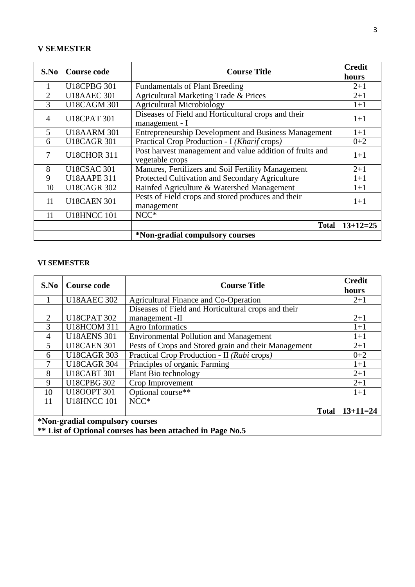## **V SEMESTER**

| S.No           | <b>Course code</b> | <b>Course Title</b>                                                         | <b>Credit</b><br>hours |
|----------------|--------------------|-----------------------------------------------------------------------------|------------------------|
|                | <b>U18CPBG 301</b> | <b>Fundamentals of Plant Breeding</b>                                       | $2+1$                  |
| $\overline{2}$ | <b>U18AAEC 301</b> | Agricultural Marketing Trade & Prices                                       | $2+1$                  |
| 3              | <b>U18CAGM 301</b> | <b>Agricultural Microbiology</b>                                            | $1+1$                  |
| $\overline{4}$ | <b>U18CPAT 301</b> | Diseases of Field and Horticultural crops and their<br>management - I       | $1+1$                  |
| 5              | <b>U18AARM 301</b> | <b>Entrepreneurship Development and Business Management</b>                 | $1+1$                  |
| 6              | <b>U18CAGR 301</b> | Practical Crop Production - I (Kharif crops)                                | $0 + 2$                |
| 7              | <b>U18CHOR 311</b> | Post harvest management and value addition of fruits and<br>vegetable crops |                        |
| 8              | <b>U18CSAC 301</b> | Manures, Fertilizers and Soil Fertility Management                          | $2 + 1$                |
| 9              | <b>U18AAPE 311</b> | Protected Cultivation and Secondary Agriculture                             | $1+1$                  |
| 10             | <b>U18CAGR 302</b> | Rainfed Agriculture & Watershed Management                                  | $1 + 1$                |
| 11             | <b>U18CAEN 301</b> | Pests of Field crops and stored produces and their<br>management            | $1+1$                  |
| 11             | <b>U18HNCC 101</b> | $NCC*$                                                                      |                        |
|                |                    | <b>Total</b>                                                                | $13+12=25$             |
|                |                    | *Non-gradial compulsory courses                                             |                        |

#### **VI SEMESTER**

| S.No           | <b>Course code</b>                                                | <b>Course Title</b>                                  | <b>Credit</b> |  |  |
|----------------|-------------------------------------------------------------------|------------------------------------------------------|---------------|--|--|
|                |                                                                   |                                                      | hours         |  |  |
|                | <b>U18AAEC 302</b>                                                | <b>Agricultural Finance and Co-Operation</b>         | $2+1$         |  |  |
|                |                                                                   | Diseases of Field and Horticultural crops and their  |               |  |  |
| 2              | <b>U18CPAT 302</b>                                                | management -II                                       | $2+1$         |  |  |
| $\overline{3}$ | <b>U18HCOM 311</b>                                                | Agro Informatics                                     | $1+1$         |  |  |
| $\overline{4}$ | <b>U18AENS 301</b>                                                | <b>Environmental Pollution and Management</b>        | $1+1$         |  |  |
| 5              | <b>U18CAEN 301</b>                                                | Pests of Crops and Stored grain and their Management | $2+1$         |  |  |
| 6              | <b>U18CAGR 303</b>                                                | Practical Crop Production - II (Rabi crops)          | $0 + 2$       |  |  |
| 7              | <b>U18CAGR 304</b>                                                | Principles of organic Farming                        | $1+1$         |  |  |
| 8              | <b>U18CABT 301</b>                                                | Plant Bio technology                                 | $2+1$         |  |  |
| 9              | <b>U18CPBG 302</b>                                                | Crop Improvement                                     | $2+1$         |  |  |
| 10             | <b>U18OOPT 301</b>                                                | Optional course**                                    | $1+1$         |  |  |
| 11             | <b>U18HNCC 101</b>                                                | NCC <sup>*</sup>                                     |               |  |  |
|                |                                                                   | <b>Total</b>                                         | $13+11=24$    |  |  |
|                | *Non-gradial compulsory courses                                   |                                                      |               |  |  |
|                | <b>** List of Optional courses has been attached in Page No.5</b> |                                                      |               |  |  |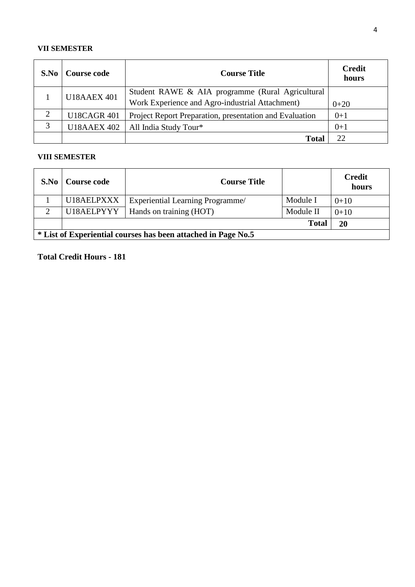#### **VII SEMESTER**

| S.No | Course code        | <b>Course Title</b>                                     | <b>Credit</b><br>hours |
|------|--------------------|---------------------------------------------------------|------------------------|
|      | <b>U18AAEX 401</b> | Student RAWE & AIA programme (Rural Agricultural        |                        |
|      |                    | Work Experience and Agro-industrial Attachment)         | $0+20$                 |
| 2    | <b>U18CAGR 401</b> | Project Report Preparation, presentation and Evaluation | $0+1$                  |
| 3    | <b>U18AAEX 402</b> | All India Study Tour*                                   | $0+1$                  |
|      |                    | <b>Total</b>                                            |                        |

## **VIII SEMESTER**

| S.No | Course code                                                   | <b>Course Title</b>                    |              | <b>Credit</b><br>hours |  |
|------|---------------------------------------------------------------|----------------------------------------|--------------|------------------------|--|
|      | U18AELPXXX                                                    | <b>Experiential Learning Programme</b> | Module I     | $0+10$                 |  |
| 2    |                                                               | U18AELPYYY   Hands on training $(HOT)$ | Module II    | $0+10$                 |  |
|      |                                                               |                                        | <b>Total</b> | 20                     |  |
|      | * List of Experiential courses has been attached in Page No.5 |                                        |              |                        |  |

**Total Credit Hours - 181**